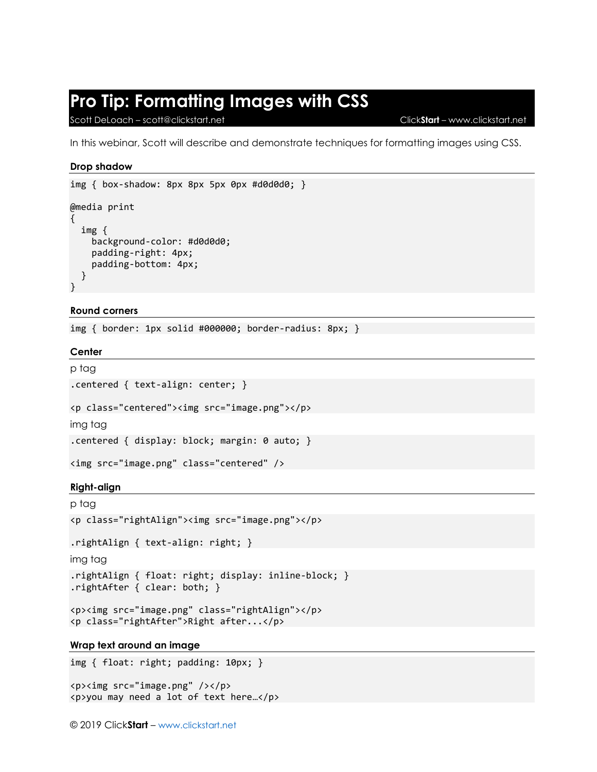# **Pro Tip: Formatting Images with CSS**

Scott DeLoach – scott@clickstart.net Click**Start** – www.clickstart.net

In this webinar, Scott will describe and demonstrate techniques for formatting images using CSS.

## **Drop shadow**

```
img { box-shadow: 8px 8px 5px 0px #d0d0d0; }
@media print
{
   img {
     background-color: #d0d0d0;
     padding-right: 4px;
     padding-bottom: 4px;
   }
}
```
## **Round corners**

img { border: 1px solid #000000; border-radius: 8px; }

**Center**

```
p tag
.centered { text-align: center; }
```

```
<p class="centered"><img src="image.png"></p>
```
img tag

```
.centered { display: block; margin: 0 auto; }
```

```
<img src="image.png" class="centered" />
```
## **Right-align**

```
p tag
<p class="rightAlign"><img src="image.png"></p>
.rightAlign { text-align: right; }
img tag
```

```
.rightAlign { float: right; display: inline-block; }
.rightAfter { clear: both; }
```

```
<p><img src="image.png" class="rightAlign"></p>
<p class="rightAfter">Right after...</p>
```
## **Wrap text around an image**

img { float: right; padding: 10px; }

```
<p><img src="image.png" /></p>
<p>you may need a lot of text here…</p>
```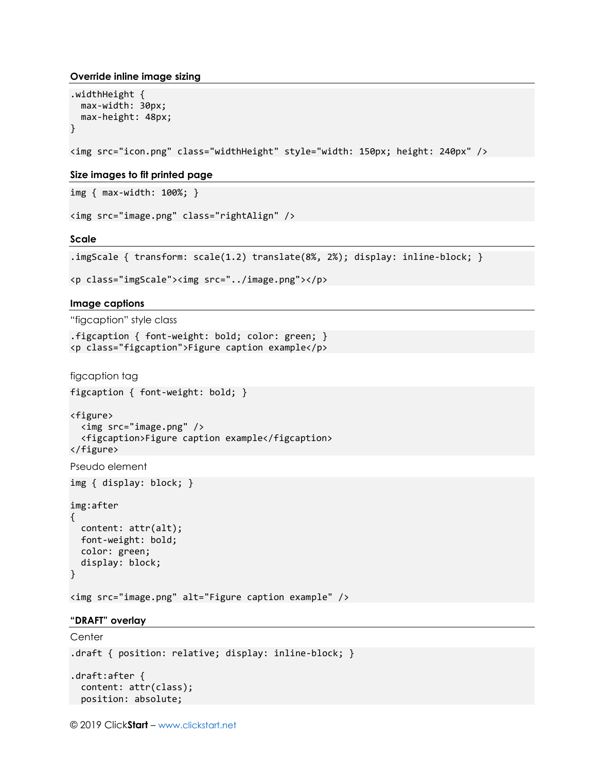#### **Override inline image sizing**

```
.widthHeight {
  max-width: 30px;
  max-height: 48px;
}
```
<img src="icon.png" class="widthHeight" style="width: 150px; height: 240px" />

#### **Size images to fit printed page**

img { max-width: 100%; }

```
<img src="image.png" class="rightAlign" />
```
**Scale**

```
.imgScale { transform: scale(1.2) translate(8%, 2%); display: inline-block; }
```

```
<p class="imgScale"><img src="../image.png"></p>
```
**Image captions**

"figcaption" style class

```
.figcaption { font-weight: bold; color: green; }
<p class="figcaption">Figure caption example</p>
```
figcaption tag

figcaption { font-weight: bold; }

```
<figure>
   <img src="image.png" />
   <figcaption>Figure caption example</figcaption>
</figure>
```
Pseudo element

img { display: block; }

img:after

```
{
  content: attr(alt);
  font-weight: bold;
  color: green;
   display: block;
}
```
<img src="image.png" alt="Figure caption example" />

#### **"DRAFT" overlay**

```
Center
.draft { position: relative; display: inline-block; }
.draft:after {
  content: attr(class);
  position: absolute;
```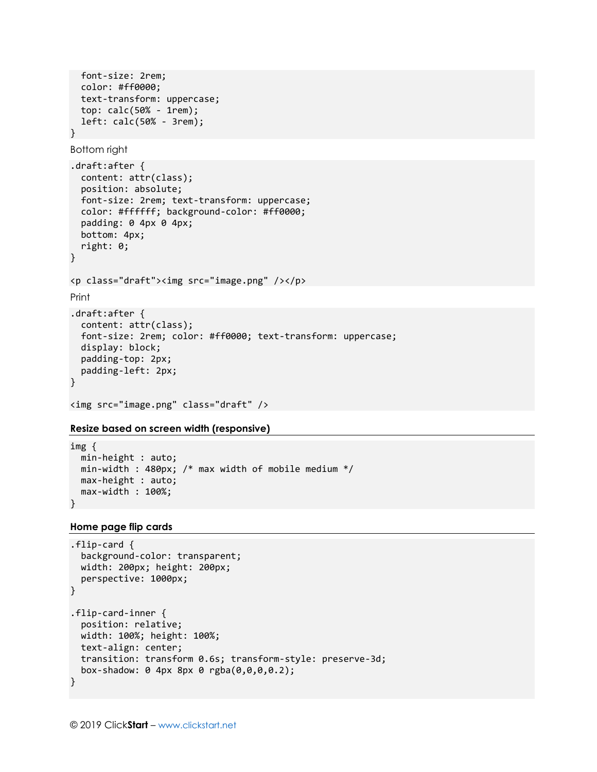```
 font-size: 2rem;
   color: #ff0000;
   text-transform: uppercase;
   top: calc(50% - 1rem);
   left: calc(50% - 3rem);
}
```

```
Bottom right
```

```
.draft:after {
   content: attr(class);
   position: absolute;
   font-size: 2rem; text-transform: uppercase;
   color: #ffffff; background-color: #ff0000;
   padding: 0 4px 0 4px;
   bottom: 4px;
   right: 0;
}
<p class="draft"><img src="image.png" /></p>
Print
.draft:after {
   content: attr(class);
   font-size: 2rem; color: #ff0000; text-transform: uppercase;
   display: block;
   padding-top: 2px;
   padding-left: 2px;
}
```
## <img src="image.png" class="draft" />

### **Resize based on screen width (responsive)**

```
img {
   min-height : auto;
   min-width : 480px; /* max width of mobile medium */
   max-height : auto;
   max-width : 100%;
}
```
#### **Home page flip cards**

```
.flip-card {
   background-color: transparent;
   width: 200px; height: 200px;
   perspective: 1000px;
}
.flip-card-inner {
   position: relative;
   width: 100%; height: 100%;
   text-align: center;
   transition: transform 0.6s; transform-style: preserve-3d;
   box-shadow: 0 4px 8px 0 rgba(0,0,0,0.2);
}
```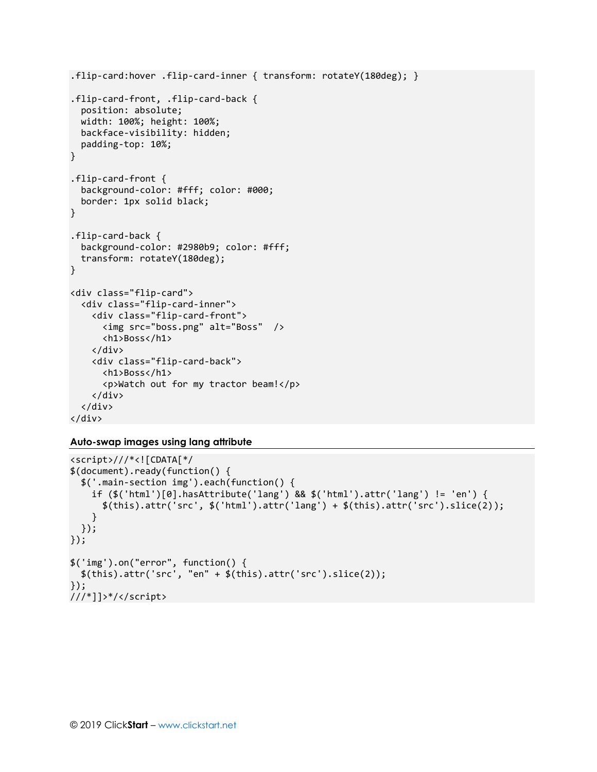```
.flip-card:hover .flip-card-inner { transform: rotateY(180deg); }
.flip-card-front, .flip-card-back {
   position: absolute;
   width: 100%; height: 100%;
   backface-visibility: hidden;
   padding-top: 10%;
}
.flip-card-front {
   background-color: #fff; color: #000;
   border: 1px solid black;
}
.flip-card-back {
   background-color: #2980b9; color: #fff;
   transform: rotateY(180deg);
}
<div class="flip-card">
   <div class="flip-card-inner">
     <div class="flip-card-front">
       <img src="boss.png" alt="Boss" />
       <h1>Boss</h1>
     </div>
     <div class="flip-card-back">
       <h1>Boss</h1>
       <p>Watch out for my tractor beam!</p>
     </div>
   </div>
</div>
```
**Auto-swap images using lang attribute**

```
<script>///*<![CDATA[*/
$(document).ready(function() {
  $('.main-section img').each(function() {
     if ($('html')[0].hasAttribute('lang') && $('html').attr('lang') != 'en') { 
      $(this).attr('src', $('html').attr('lang') + $(this).attr('src').slice(2)); }
  });
});
$('img').on("error", function() {
  $(this).attr('src', "en" + $(this).attr('src').slice(2));
});
///*]]>*/</script>
```